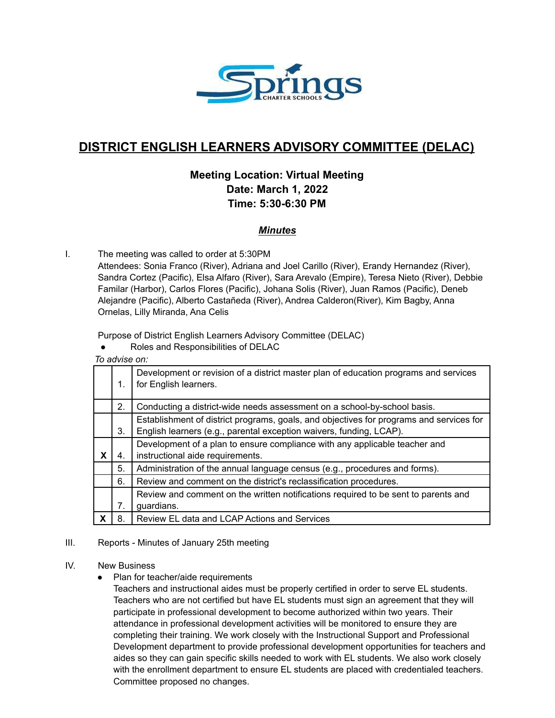

# **DISTRICT ENGLISH LEARNERS ADVISORY COMMITTEE (DELAC)**

## **Meeting Location: Virtual Meeting Date: March 1, 2022 Time: 5:30-6:30 PM**

## *Minutes*

I. The meeting was called to order at 5:30PM

Attendees: Sonia Franco (River), Adriana and Joel Carillo (River), Erandy Hernandez (River), Sandra Cortez (Pacific), Elsa Alfaro (River), Sara Arevalo (Empire), Teresa Nieto (River), Debbie Familar (Harbor), Carlos Flores (Pacific), Johana Solis (River), Juan Ramos (Pacific), Deneb Alejandre (Pacific), Alberto Castañeda (River), Andrea Calderon(River), Kim Bagby, Anna Ornelas, Lilly Miranda, Ana Celis

Purpose of District English Learners Advisory Committee (DELAC)

Roles and Responsibilities of DELAC

*To advise on:*

|   | 1. | Development or revision of a district master plan of education programs and services<br>for English learners.                                                  |  |  |  |
|---|----|----------------------------------------------------------------------------------------------------------------------------------------------------------------|--|--|--|
|   | 2. | Conducting a district-wide needs assessment on a school-by-school basis.                                                                                       |  |  |  |
|   | 3. | Establishment of district programs, goals, and objectives for programs and services for<br>English learners (e.g., parental exception waivers, funding, LCAP). |  |  |  |
| X | 4. | Development of a plan to ensure compliance with any applicable teacher and<br>instructional aide requirements.                                                 |  |  |  |
|   | 5. | Administration of the annual language census (e.g., procedures and forms).                                                                                     |  |  |  |
|   | 6. | Review and comment on the district's reclassification procedures.                                                                                              |  |  |  |
|   | 7. | Review and comment on the written notifications required to be sent to parents and<br>guardians.                                                               |  |  |  |
| X | 8  | Review EL data and LCAP Actions and Services                                                                                                                   |  |  |  |

### III. Reports - Minutes of January 25th meeting

#### IV. New Business

● Plan for teacher/aide requirements

Teachers and instructional aides must be properly certified in order to serve EL students. Teachers who are not certified but have EL students must sign an agreement that they will participate in professional development to become authorized within two years. Their attendance in professional development activities will be monitored to ensure they are completing their training. We work closely with the Instructional Support and Professional Development department to provide professional development opportunities for teachers and aides so they can gain specific skills needed to work with EL students. We also work closely with the enrollment department to ensure EL students are placed with credentialed teachers. Committee proposed no changes.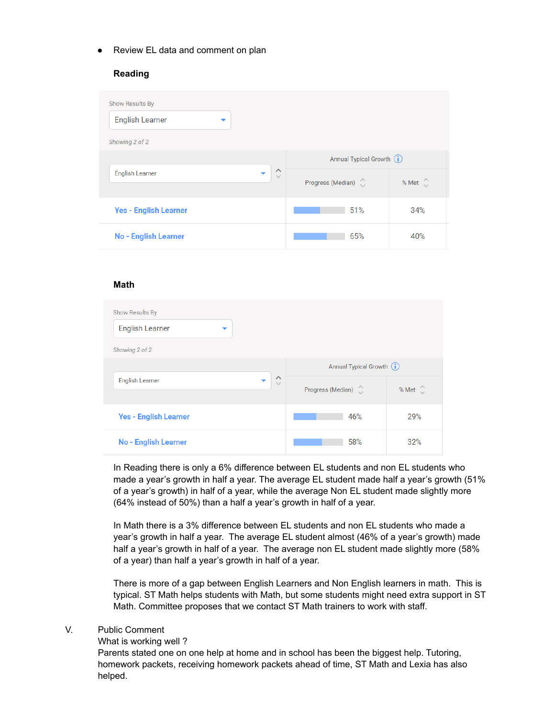● Review EL data and comment on plan

#### **Reading**

| Show Results By                                                                            |                           |                          |  |  |  |  |  |
|--------------------------------------------------------------------------------------------|---------------------------|--------------------------|--|--|--|--|--|
| <b>English Learner</b>                                                                     |                           |                          |  |  |  |  |  |
| Showing 2 of 2                                                                             |                           |                          |  |  |  |  |  |
|                                                                                            | Annual Typical Growth (i) |                          |  |  |  |  |  |
| $\hat{\phantom{1}}$<br><b>English Learner</b><br>$\overline{\phantom{a}}$<br>$\smallsmile$ | Progress (Median)         | % Met $\hat{\mathbb{C}}$ |  |  |  |  |  |
| <b>Yes - English Learner</b>                                                               | 51%                       | 34%                      |  |  |  |  |  |
| No - English Learner                                                                       | 65%                       | 40%                      |  |  |  |  |  |

#### **Math**

| <b>Show Results By</b>                                                         |                   |                           |  |  |  |  |  |
|--------------------------------------------------------------------------------|-------------------|---------------------------|--|--|--|--|--|
| <b>English Learner</b><br>▼                                                    |                   |                           |  |  |  |  |  |
| Showing 2 of 2                                                                 |                   |                           |  |  |  |  |  |
|                                                                                |                   | Annual Typical Growth (i) |  |  |  |  |  |
| $\wedge$<br><b>English Learner</b><br>$\overline{\phantom{a}}$<br>$\checkmark$ | Progress (Median) | % Met $\hat{\mathbb{C}}$  |  |  |  |  |  |
| <b>Yes - English Learner</b>                                                   | 46%               | 29%                       |  |  |  |  |  |
| <b>No - English Learner</b>                                                    | 58%               | 32%                       |  |  |  |  |  |

In Reading there is only a 6% difference between EL students and non EL students who made a year's growth in half a year. The average EL student made half a year's growth (51% of a year's growth) in half of a year, while the average Non EL student made slightly more (64% instead of 50%) than a half a year's growth in half of a year.

In Math there is a 3% difference between EL students and non EL students who made a year's growth in half a year. The average EL student almost (46% of a year's growth) made half a year's growth in half of a year. The average non EL student made slightly more (58% of a year) than half a year's growth in half of a year.

There is more of a gap between English Learners and Non English learners in math. This is typical. ST Math helps students with Math, but some students might need extra support in ST Math. Committee proposes that we contact ST Math trainers to work with staff.

#### V. Public Comment

What is working well ?

Parents stated one on one help at home and in school has been the biggest help. Tutoring, homework packets, receiving homework packets ahead of time, ST Math and Lexia has also helped.